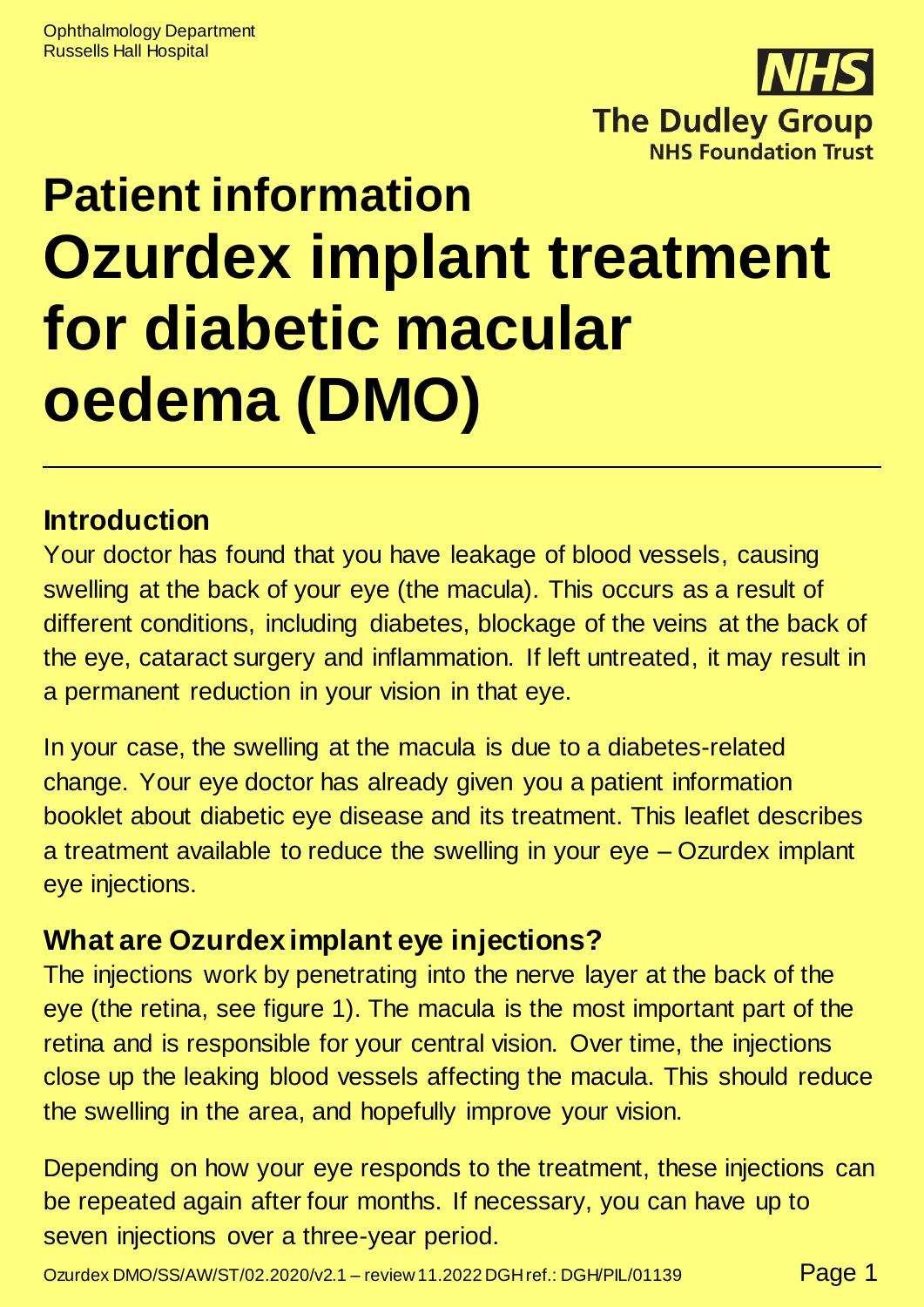

# **Patient information Ozurdex implant treatment for diabetic macular oedema (DMO)**

#### **Introduction**

Your doctor has found that you have leakage of blood vessels, causing swelling at the back of your eye (the macula). This occurs as a result of different conditions, including diabetes, blockage of the veins at the back of the eye, cataract surgery and inflammation. If left untreated, it may result in a permanent reduction in your vision in that eye.

In your case, the swelling at the macula is due to a diabetes-related change. Your eye doctor has already given you a patient information booklet about diabetic eye disease and its treatment. This leaflet describes a treatment available to reduce the swelling in your eye – Ozurdex implant eye injections.

## **What are Ozurdex implant eye injections?**

The injections work by penetrating into the nerve layer at the back of the eye (the retina, see figure 1). The macula is the most important part of the retina and is responsible for your central vision. Over time, the injections close up the leaking blood vessels affecting the macula. This should reduce the swelling in the area, and hopefully improve your vision.

Depending on how your eye responds to the treatment, these injections can be repeated again after four months. If necessary, you can have up to seven injections over a three-year period.

Ozurdex DMO/SS/AW/ST/02.2020/v2.1 – review 11.2022 DGH ref.: DGH/PIL/01139 Page 1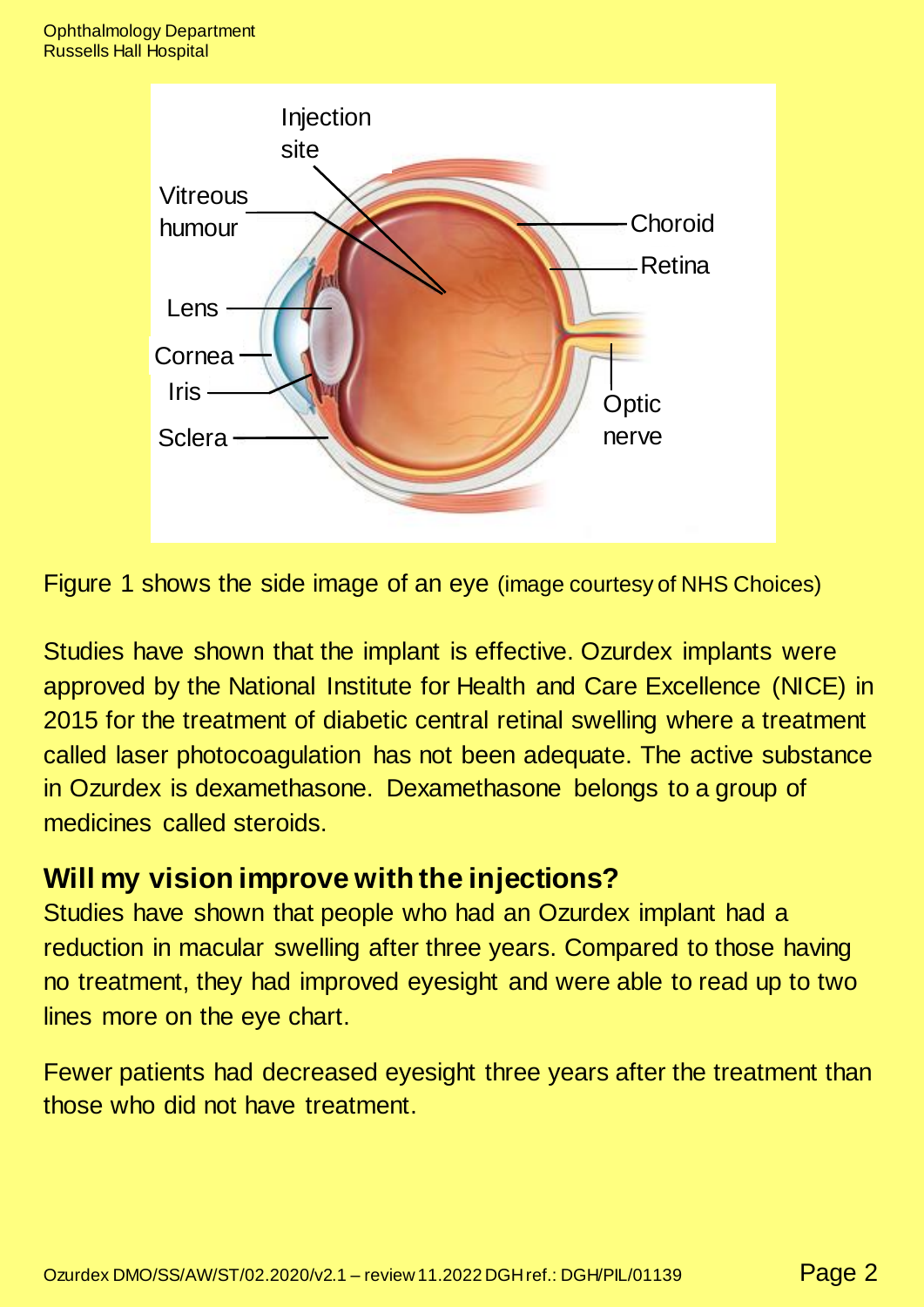

Figure 1 shows the side image of an eye (image courtesy of NHS Choices)

Studies have shown that the implant is effective. Ozurdex implants were approved by the National Institute for Health and Care Excellence (NICE) in 2015 for the treatment of diabetic central retinal swelling where a treatment called laser photocoagulation has not been adequate. The active substance in Ozurdex is dexamethasone. Dexamethasone belongs to a group of medicines called steroids.

#### **Will my vision improve with the injections?**

Studies have shown that people who had an Ozurdex implant had a reduction in macular swelling after three years. Compared to those having no treatment, they had improved eyesight and were able to read up to two lines more on the eye chart.

Fewer patients had decreased eyesight three years after the treatment than those who did not have treatment.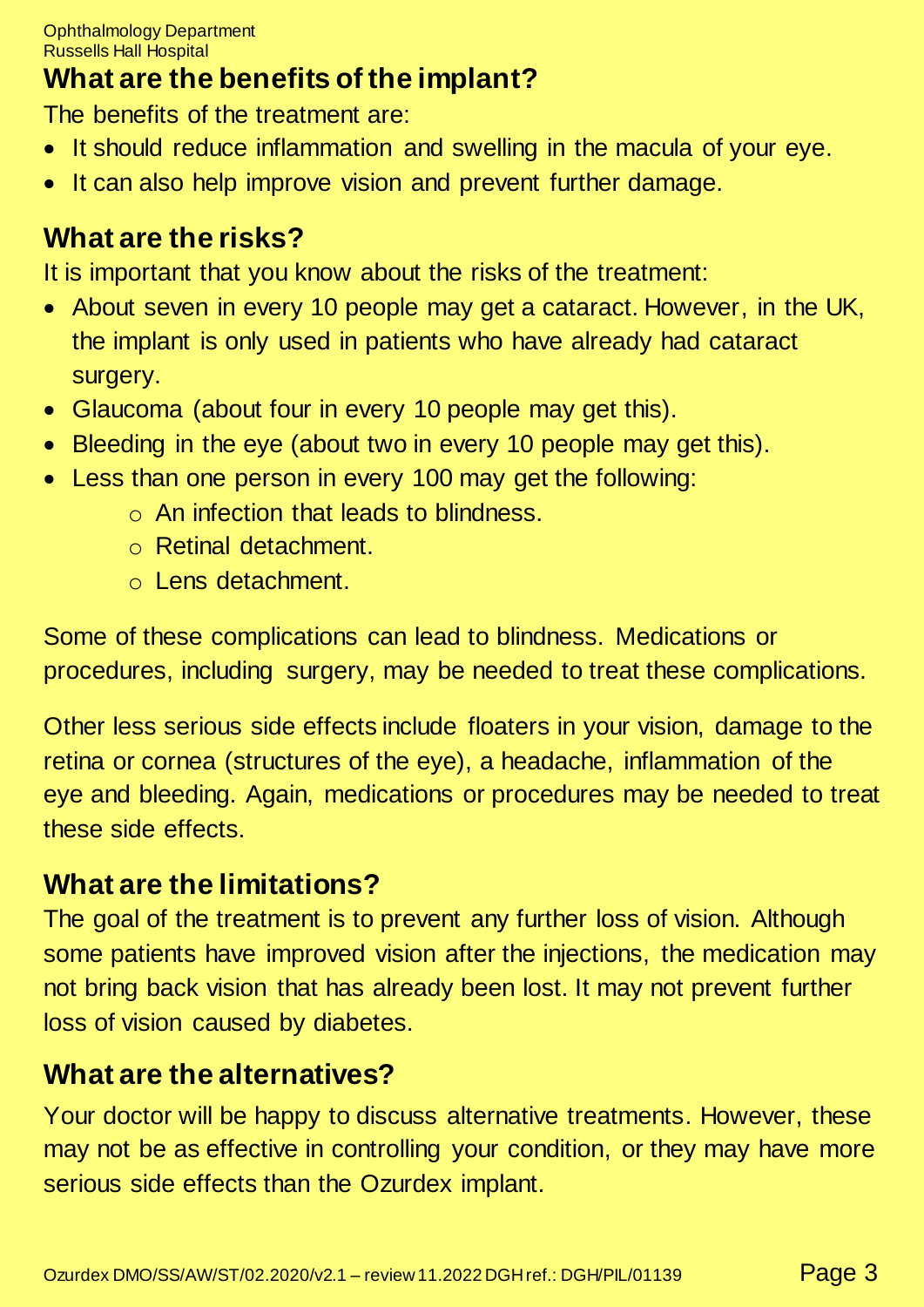## **What are the benefits of the implant?**

The benefits of the treatment are:

- It should reduce inflammation and swelling in the macula of your eye.
- It can also help improve vision and prevent further damage.

## **What are the risks?**

It is important that you know about the risks of the treatment:

- About seven in every 10 people may get a cataract. However, in the UK, the implant is only used in patients who have already had cataract surgery.
- Glaucoma (about four in every 10 people may get this).
- Bleeding in the eye (about two in every 10 people may get this).
- Less than one person in every 100 may get the following:
	- o An infection that leads to blindness.
	- o Retinal detachment.
	- o Lens detachment.

Some of these complications can lead to blindness. Medications or procedures, including surgery, may be needed to treat these complications.

Other less serious side effects include floaters in your vision, damage to the retina or cornea (structures of the eye), a headache, inflammation of the eye and bleeding. Again, medications or procedures may be needed to treat these side effects.

## **What are the limitations?**

The goal of the treatment is to prevent any further loss of vision. Although some patients have improved vision after the injections, the medication may not bring back vision that has already been lost. It may not prevent further loss of vision caused by diabetes.

## **What are the alternatives?**

Your doctor will be happy to discuss alternative treatments. However, these may not be as effective in controlling your condition, or they may have more serious side effects than the Ozurdex implant.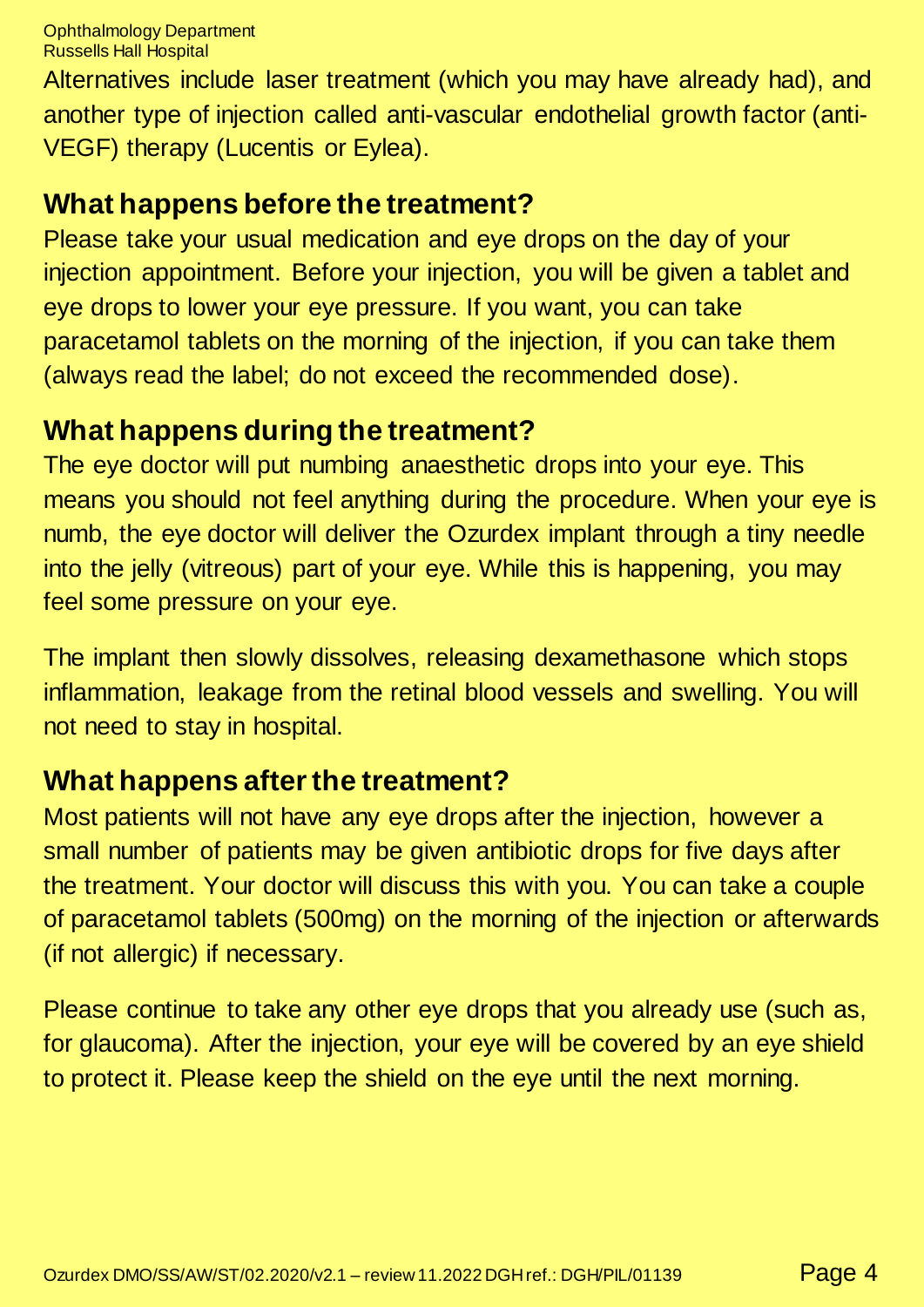Ophthalmology Department Russells Hall Hospital

Alternatives include laser treatment (which you may have already had), and another type of injection called anti-vascular endothelial growth factor (anti-VEGF) therapy (Lucentis or Eylea).

## **What happens before the treatment?**

Please take your usual medication and eye drops on the day of your injection appointment. Before your injection, you will be given a tablet and eye drops to lower your eye pressure. If you want, you can take paracetamol tablets on the morning of the injection, if you can take them (always read the label; do not exceed the recommended dose).

## **What happens during the treatment?**

The eye doctor will put numbing anaesthetic drops into your eye. This means you should not feel anything during the procedure. When your eye is numb, the eye doctor will deliver the Ozurdex implant through a tiny needle into the jelly (vitreous) part of your eye. While this is happening, you may feel some pressure on your eye.

The implant then slowly dissolves, releasing dexamethasone which stops inflammation, leakage from the retinal blood vessels and swelling. You will not need to stay in hospital.

## **What happens after the treatment?**

Most patients will not have any eye drops after the injection, however a small number of patients may be given antibiotic drops for five days after the treatment. Your doctor will discuss this with you. You can take a couple of paracetamol tablets (500mg) on the morning of the injection or afterwards (if not allergic) if necessary.

Please continue to take any other eye drops that you already use (such as, for glaucoma). After the injection, your eye will be covered by an eye shield to protect it. Please keep the shield on the eye until the next morning.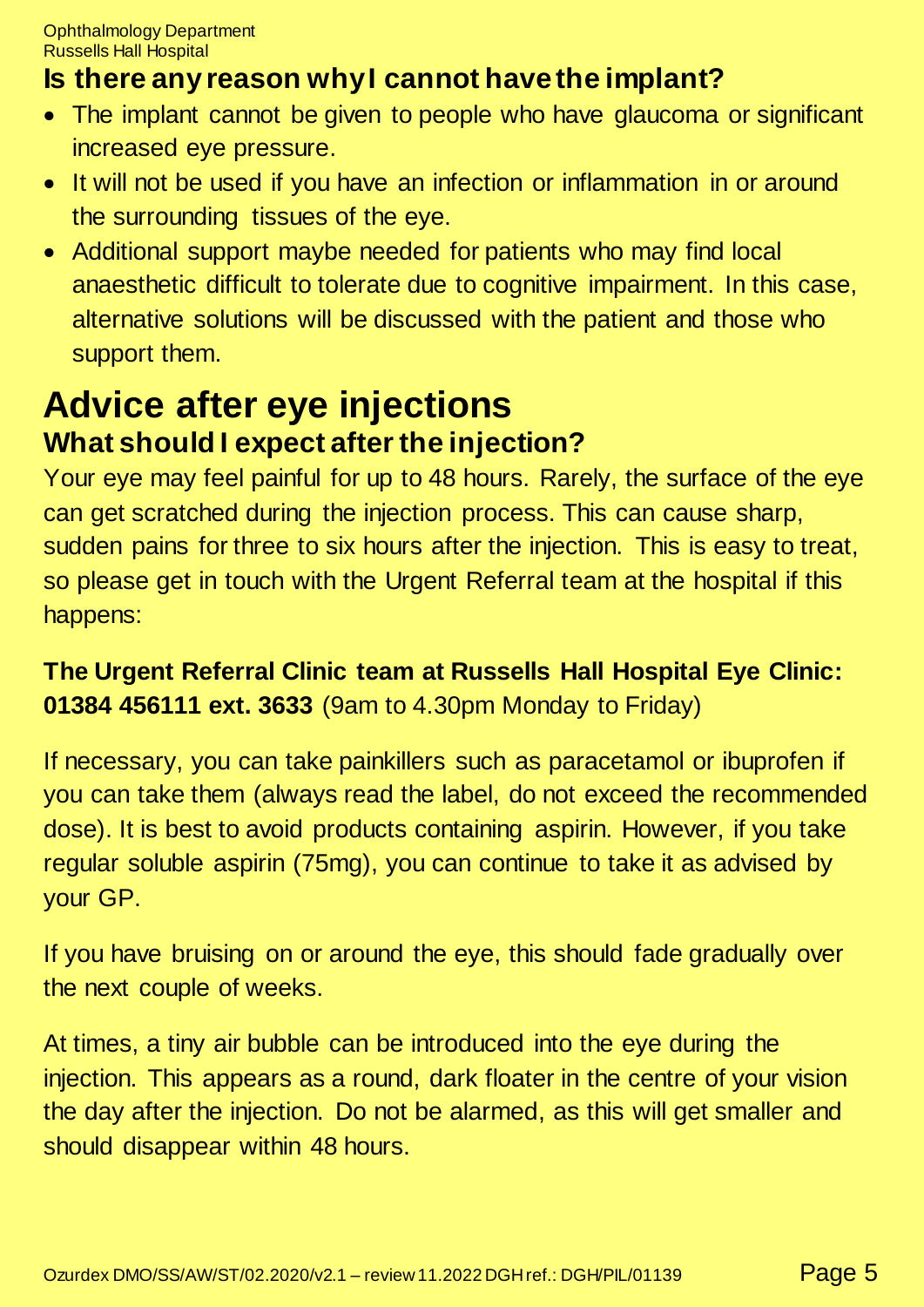## **Is there any reason why I cannot have the implant?**

- The implant cannot be given to people who have glaucoma or significant increased eye pressure.
- It will not be used if you have an infection or inflammation in or around the surrounding tissues of the eye.
- Additional support maybe needed for patients who may find local anaesthetic difficult to tolerate due to cognitive impairment. In this case, alternative solutions will be discussed with the patient and those who support them.

## **Advice after eye injections What should I expect after the injection?**

Your eye may feel painful for up to 48 hours. Rarely, the surface of the eye can get scratched during the injection process. This can cause sharp, sudden pains for three to six hours after the injection. This is easy to treat, so please get in touch with the Urgent Referral team at the hospital if this happens:

## **The Urgent Referral Clinic team at Russells Hall Hospital Eye Clinic: 01384 456111 ext. 3633** (9am to 4.30pm Monday to Friday)

If necessary, you can take painkillers such as paracetamol or ibuprofen if you can take them (always read the label, do not exceed the recommended dose). It is best to avoid products containing aspirin. However, if you take regular soluble aspirin (75mg), you can continue to take it as advised by your GP.

If you have bruising on or around the eye, this should fade gradually over the next couple of weeks.

At times, a tiny air bubble can be introduced into the eye during the injection. This appears as a round, dark floater in the centre of your vision the day after the injection. Do not be alarmed, as this will get smaller and should disappear within 48 hours.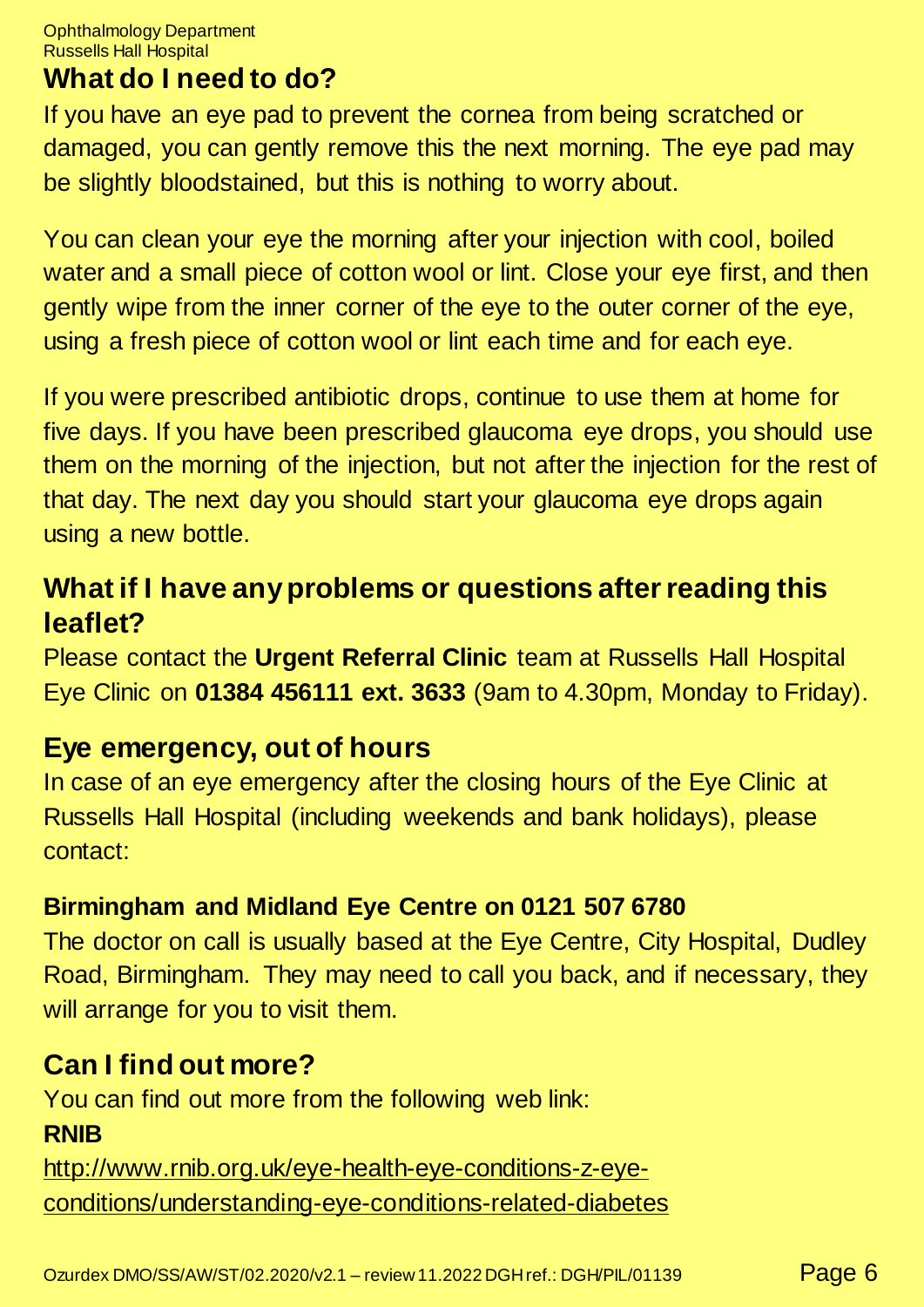Ophthalmology Department Russells Hall Hospital

## **What do I need to do?**

If you have an eye pad to prevent the cornea from being scratched or damaged, you can gently remove this the next morning. The eye pad may be slightly bloodstained, but this is nothing to worry about.

You can clean your eye the morning after your injection with cool, boiled water and a small piece of cotton wool or lint. Close your eye first, and then gently wipe from the inner corner of the eye to the outer corner of the eye, using a fresh piece of cotton wool or lint each time and for each eye.

If you were prescribed antibiotic drops, continue to use them at home for five days. If you have been prescribed glaucoma eye drops, you should use them on the morning of the injection, but not after the injection for the rest of that day. The next day you should start your glaucoma eye drops again using a new bottle.

## **What if I have any problems or questions after reading this leaflet?**

Please contact the **Urgent Referral Clinic** team at Russells Hall Hospital Eye Clinic on **01384 456111 ext. 3633** (9am to 4.30pm, Monday to Friday).

## **Eye emergency, out of hours**

In case of an eye emergency after the closing hours of the Eye Clinic at Russells Hall Hospital (including weekends and bank holidays), please contact:

## **Birmingham and Midland Eye Centre on 0121 507 6780**

The doctor on call is usually based at the Eye Centre, City Hospital, Dudley Road, Birmingham. They may need to call you back, and if necessary, they will arrange for you to visit them.

## **Can I find out more?**

You can find out more from the following web link: **RNIB**

[http://www.rnib.org.uk/eye-health-eye-conditions-z-eye](http://www.rnib.org.uk/eye-health-eye-conditions-z-eye-conditions/understanding-eye-conditions-related-diabetes)[conditions/understanding-eye-conditions-related-diabetes](http://www.rnib.org.uk/eye-health-eye-conditions-z-eye-conditions/understanding-eye-conditions-related-diabetes)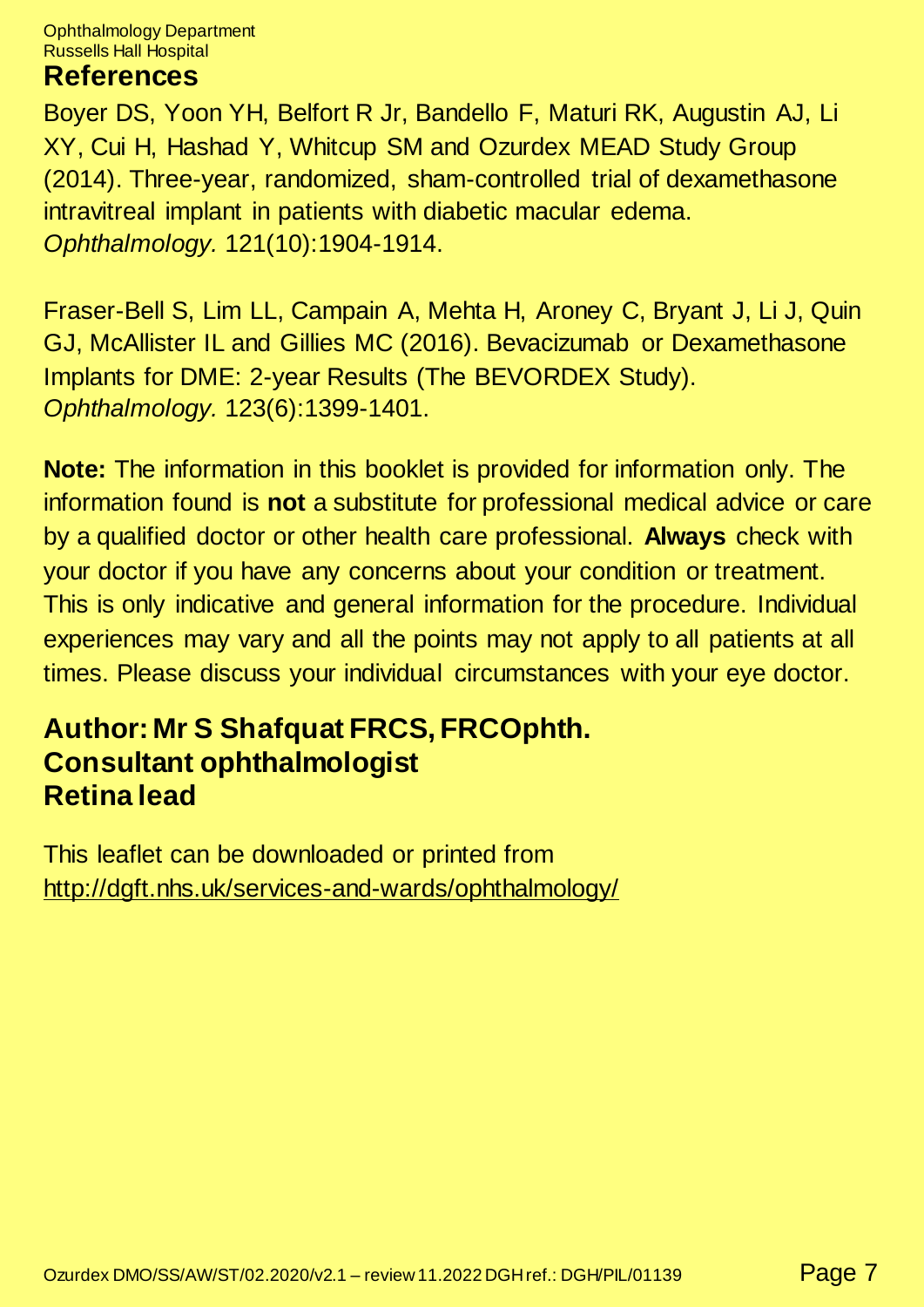Ophthalmology Department Russells Hall Hospital

#### **References**

Boyer DS, Yoon YH, Belfort R Jr, Bandello F, Maturi RK, Augustin AJ, Li XY, Cui H, Hashad Y, Whitcup SM and Ozurdex MEAD Study Group (2014). Three-year, randomized, sham-controlled trial of dexamethasone intravitreal implant in patients with diabetic macular edema. *Ophthalmology.* 121(10):1904-1914.

Fraser-Bell S, Lim LL, Campain A, Mehta H, Aroney C, Bryant J, Li J, Quin GJ, McAllister IL and Gillies MC (2016). Bevacizumab or Dexamethasone Implants for DME: 2-year Results (The BEVORDEX Study). *Ophthalmology.* 123(6):1399-1401.

**Note:** The information in this booklet is provided for information only. The information found is **not** a substitute for professional medical advice or care by a qualified doctor or other health care professional. **Always** check with your doctor if you have any concerns about your condition or treatment. This is only indicative and general information for the procedure. Individual experiences may vary and all the points may not apply to all patients at all times. Please discuss your individual circumstances with your eye doctor.

#### **Author: Mr S Shafquat FRCS, FRCOphth. Consultant ophthalmologist Retina lead**

This leaflet can be downloaded or printed from <http://dgft.nhs.uk/services-and-wards/ophthalmology/>